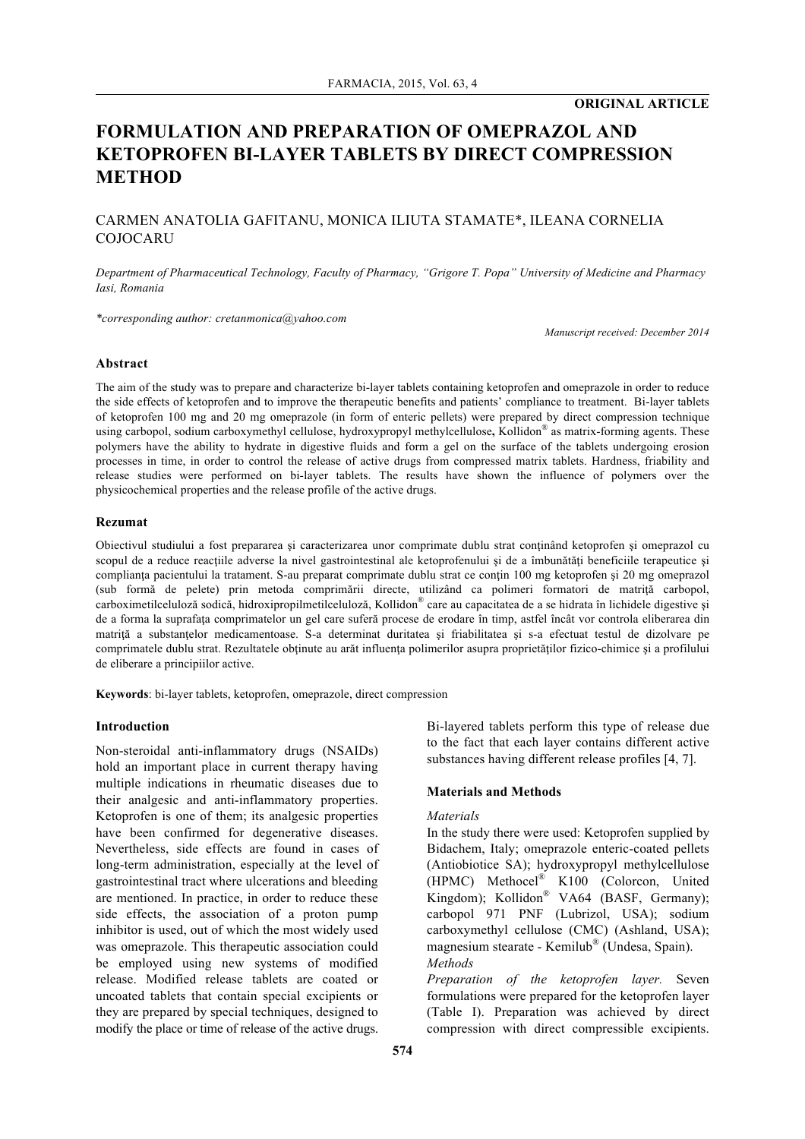# **ORIGINAL ARTICLE**

# **FORMULATION AND PREPARATION OF OMEPRAZOL AND KETOPROFEN BI-LAYER TABLETS BY DIRECT COMPRESSION METHOD**

## CARMEN ANATOLIA GAFITANU, MONICA ILIUTA STAMATE\*, ILEANA CORNELIA COJOCARU

*Department of Pharmaceutical Technology, Faculty of Pharmacy, "Grigore T. Popa" University of Medicine and Pharmacy Iasi, Romania*

*\*corresponding author: cretanmonica@yahoo.com*

*Manuscript received: December 2014*

## **Abstract**

The aim of the study was to prepare and characterize bi-layer tablets containing ketoprofen and omeprazole in order to reduce the side effects of ketoprofen and to improve the therapeutic benefits and patients' compliance to treatment. Bi-layer tablets of ketoprofen 100 mg and 20 mg omeprazole (in form of enteric pellets) were prepared by direct compression technique using carbopol, sodium carboxymethyl cellulose, hydroxypropyl methylcellulose**,** Kollidon® as matrix-forming agents. These polymers have the ability to hydrate in digestive fluids and form a gel on the surface of the tablets undergoing erosion processes in time, in order to control the release of active drugs from compressed matrix tablets. Hardness, friability and release studies were performed on bi-layer tablets. The results have shown the influence of polymers over the physicochemical properties and the release profile of the active drugs.

#### **Rezumat**

Obiectivul studiului a fost prepararea şi caracterizarea unor comprimate dublu strat conţinând ketoprofen şi omeprazol cu scopul de a reduce reacțiile adverse la nivel gastrointestinal ale ketoprofenului și de a îmbunătăți beneficiile terapeutice și complianța pacientului la tratament. S-au preparat comprimate dublu strat ce conțin 100 mg ketoprofen și 20 mg omeprazol (sub formă de pelete) prin metoda comprimării directe, utilizând ca polimeri formatori de matriţă carbopol, carboximetilceluloză sodică, hidroxipropilmetilceluloză, Kollidon® care au capacitatea de a se hidrata în lichidele digestive şi de a forma la suprafaţa comprimatelor un gel care suferă procese de erodare în timp, astfel încât vor controla eliberarea din matrită a substantelor medicamentoase. S-a determinat duritatea și friabilitatea și s-a efectuat testul de dizolvare pe comprimatele dublu strat. Rezultatele obținute au arăt influența polimerilor asupra proprietăților fizico-chimice și a profilului de eliberare a principiilor active.

**Keywords**: bi-layer tablets, ketoprofen, omeprazole, direct compression

## **Introduction**

Non-steroidal anti-inflammatory drugs (NSAIDs) hold an important place in current therapy having multiple indications in rheumatic diseases due to their analgesic and anti-inflammatory properties. Ketoprofen is one of them; its analgesic properties have been confirmed for degenerative diseases. Nevertheless, side effects are found in cases of long-term administration, especially at the level of gastrointestinal tract where ulcerations and bleeding are mentioned. In practice, in order to reduce these side effects, the association of a proton pump inhibitor is used, out of which the most widely used was omeprazole. This therapeutic association could be employed using new systems of modified release. Modified release tablets are coated or uncoated tablets that contain special excipients or they are prepared by special techniques, designed to modify the place or time of release of the active drugs. Bi-layered tablets perform this type of release due to the fact that each layer contains different active substances having different release profiles [4, 7].

## **Materials and Methods**

## *Materials*

In the study there were used: Ketoprofen supplied by Bidachem, Italy; omeprazole enteric-coated pellets (Antiobiotice SA); hydroxypropyl methylcellulose (HPMC) Methocel® K100 (Colorcon, United Kingdom); Kollidon® VA64 (BASF, Germany); carbopol 971 PNF (Lubrizol, USA); sodium carboxymethyl cellulose (CMC) (Ashland, USA); magnesium stearate - Kemilub® (Undesa, Spain). *Methods*

*Preparation of the ketoprofen layer.* Seven formulations were prepared for the ketoprofen layer (Table I). Preparation was achieved by direct compression with direct compressible excipients.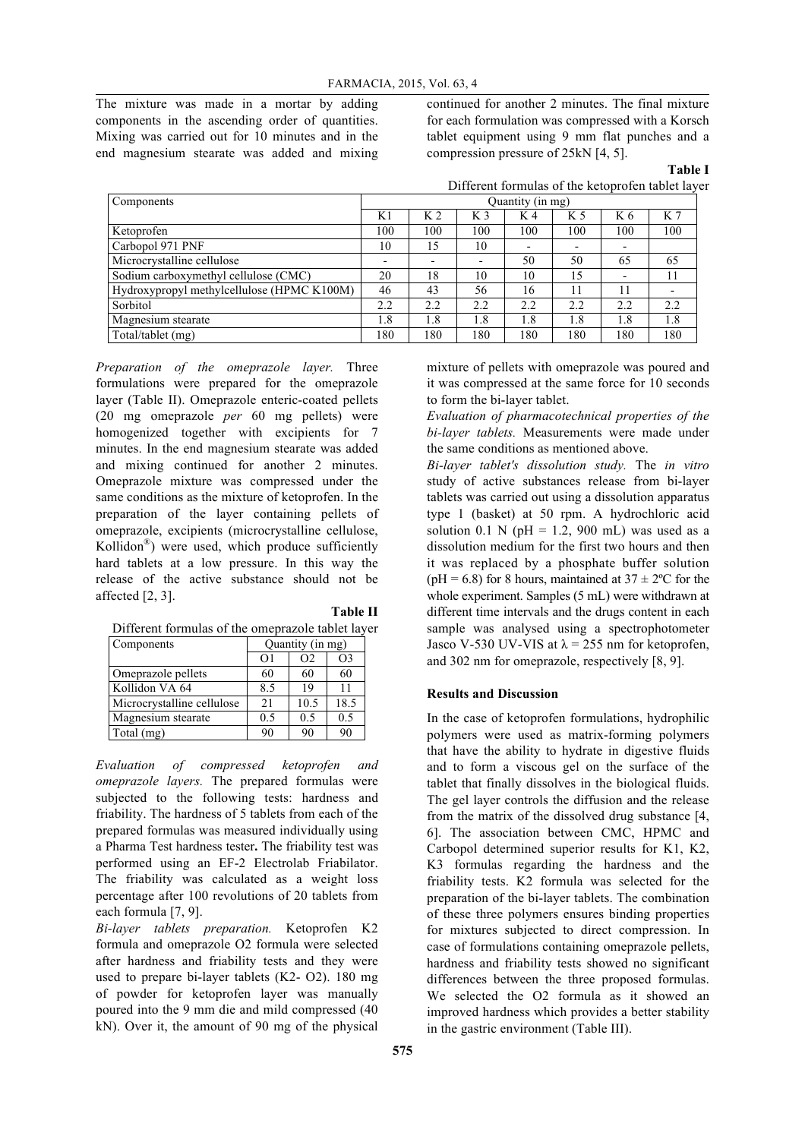The mixture was made in a mortar by adding components in the ascending order of quantities. Mixing was carried out for 10 minutes and in the end magnesium stearate was added and mixing continued for another 2 minutes. The final mixture for each formulation was compressed with a Korsch tablet equipment using 9 mm flat punches and a compression pressure of 25kN [4, 5].

**Table I**

Different formulas of the ketoprofen tablet layer

| Components                                 | Quantity (in mg)         |                          |                          |                          |                          |                          |                          |
|--------------------------------------------|--------------------------|--------------------------|--------------------------|--------------------------|--------------------------|--------------------------|--------------------------|
|                                            | K1                       | K 2                      | K <sub>3</sub>           | K 4                      | K 5                      | K 6                      | K 7                      |
| Ketoprofen                                 | 100                      | 100                      | 100                      | 100                      | 100                      | 100                      | 100                      |
| Carbopol 971 PNF                           | 10                       | 15                       | 10                       | $\overline{\phantom{0}}$ | $\overline{\phantom{a}}$ | $\overline{\phantom{a}}$ |                          |
| Microcrystalline cellulose                 | $\overline{\phantom{0}}$ | $\overline{\phantom{0}}$ | $\overline{\phantom{0}}$ | 50                       | 50                       | 65                       | 65                       |
| Sodium carboxymethyl cellulose (CMC)       | 20                       | 18                       | 10                       | 10                       | 15                       | $\overline{\phantom{a}}$ | 11                       |
| Hydroxypropyl methylcellulose (HPMC K100M) | 46                       | 43                       | 56                       | 16                       | 11                       | 11                       | $\overline{\phantom{0}}$ |
| Sorbitol                                   | 2.2                      | 2.2                      | 2.2                      | 2.2                      | 2.2                      | 2.2                      | 2.2                      |
| Magnesium stearate                         | 1.8                      | 1.8                      | 1.8                      | 1.8                      | 1.8                      | 1.8                      | 1.8                      |
| Total/tablet (mg)                          | 180                      | 180                      | 180                      | 180                      | 180                      | 180                      | 180                      |

*Preparation of the omeprazole layer.* Three formulations were prepared for the omeprazole layer (Table II). Omeprazole enteric-coated pellets (20 mg omeprazole *per* 60 mg pellets) were homogenized together with excipients for 7 minutes. In the end magnesium stearate was added and mixing continued for another 2 minutes. Omeprazole mixture was compressed under the same conditions as the mixture of ketoprofen. In the preparation of the layer containing pellets of omeprazole, excipients (microcrystalline cellulose, Kollidon®) were used, which produce sufficiently hard tablets at a low pressure. In this way the release of the active substance should not be affected [2, 3]. **Table II**

|  | Different formulas of the omeprazole tablet layer |  |
|--|---------------------------------------------------|--|
|  |                                                   |  |

| Components                 | Quantity (in mg) |                |                |
|----------------------------|------------------|----------------|----------------|
|                            | $\Omega$         | O <sub>2</sub> | O <sub>3</sub> |
| Omeprazole pellets         | 60               | 60             | 60             |
| Kollidon VA 64             | 8.5              | 19             | 11             |
| Microcrystalline cellulose | 21               | 10.5           | 18.5           |
| Magnesium stearate         | 0.5              | 0.5            | 0.5            |
| Total (mg)                 | 90               | 90             | 90             |

*Evaluation of compressed ketoprofen and omeprazole layers.* The prepared formulas were subjected to the following tests: hardness and friability. The hardness of 5 tablets from each of the prepared formulas was measured individually using a Pharma Test hardness tester**.** The friability test was performed using an EF-2 Electrolab Friabilator. The friability was calculated as a weight loss percentage after 100 revolutions of 20 tablets from each formula [7, 9].

*Bi-layer tablets preparation.* Ketoprofen K2 formula and omeprazole O2 formula were selected after hardness and friability tests and they were used to prepare bi-layer tablets (K2- O2). 180 mg of powder for ketoprofen layer was manually poured into the 9 mm die and mild compressed (40 kN). Over it, the amount of 90 mg of the physical

mixture of pellets with omeprazole was poured and it was compressed at the same force for 10 seconds to form the bi-layer tablet.

*Evaluation of pharmacotechnical properties of the bi-layer tablets.* Measurements were made under the same conditions as mentioned above.

*Bi-layer tablet's dissolution study.* The *in vitro* study of active substances release from bi-layer tablets was carried out using a dissolution apparatus type 1 (basket) at 50 rpm. A hydrochloric acid solution 0.1 N ( $pH = 1.2$ , 900 mL) was used as a dissolution medium for the first two hours and then it was replaced by a phosphate buffer solution (pH = 6.8) for 8 hours, maintained at  $37 \pm 2$ °C for the whole experiment. Samples (5 mL) were withdrawn at different time intervals and the drugs content in each sample was analysed using a spectrophotometer Jasco V-530 UV-VIS at  $\lambda$  = 255 nm for ketoprofen, and 302 nm for omeprazole, respectively [8, 9].

## **Results and Discussion**

In the case of ketoprofen formulations, hydrophilic polymers were used as matrix-forming polymers that have the ability to hydrate in digestive fluids and to form a viscous gel on the surface of the tablet that finally dissolves in the biological fluids. The gel layer controls the diffusion and the release from the matrix of the dissolved drug substance [4, 6]. The association between CMC, HPMC and Carbopol determined superior results for K1, K2, K3 formulas regarding the hardness and the friability tests. K2 formula was selected for the preparation of the bi-layer tablets. The combination of these three polymers ensures binding properties for mixtures subjected to direct compression. In case of formulations containing omeprazole pellets, hardness and friability tests showed no significant differences between the three proposed formulas. We selected the O2 formula as it showed an improved hardness which provides a better stability in the gastric environment (Table III).